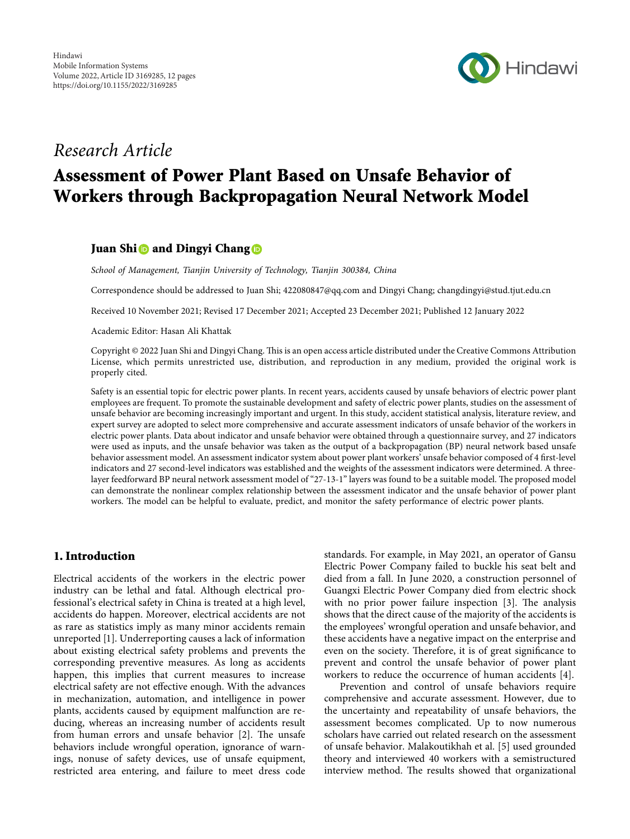

# *Research Article*

# **Assessment of Power Plant Based on Unsafe Behavior of Workers through Backpropagation Neural Network Model**

# **Juan Shi** and Dingyi Chang

*School of Management, Tianjin University of Technology, Tianjin 300384, China*

Correspondence should be addressed to Juan Shi; [422080847@qq.com](mailto:422080847@qq.com) and Dingyi Chang; [changdingyi@stud.tjut.edu.cn](mailto:changdingyi@stud.tjut.edu.cn)

Received 10 November 2021; Revised 17 December 2021; Accepted 23 December 2021; Published 12 January 2022

Academic Editor: Hasan Ali Khattak

Copyright © 2022 Juan Shi and Dingyi Chang. This is an open access article distributed under the [Creative Commons Attribution](https://creativecommons.org/licenses/by/4.0/) [License,](https://creativecommons.org/licenses/by/4.0/) which permits unrestricted use, distribution, and reproduction in any medium, provided the original work is properly cited.

Safety is an essential topic for electric power plants. In recent years, accidents caused by unsafe behaviors of electric power plant employees are frequent. To promote the sustainable development and safety of electric power plants, studies on the assessment of unsafe behavior are becoming increasingly important and urgent. In this study, accident statistical analysis, literature review, and expert survey are adopted to select more comprehensive and accurate assessment indicators of unsafe behavior of the workers in electric power plants. Data about indicator and unsafe behavior were obtained through a questionnaire survey, and 27 indicators were used as inputs, and the unsafe behavior was taken as the output of a backpropagation (BP) neural network based unsafe behavior assessment model. An assessment indicator system about power plant workers' unsafe behavior composed of 4 first-level indicators and 27 second-level indicators was established and the weights of the assessment indicators were determined. A threelayer feedforward BP neural network assessment model of "27-13-1" layers was found to be a suitable model. The proposed model can demonstrate the nonlinear complex relationship between the assessment indicator and the unsafe behavior of power plant workers. The model can be helpful to evaluate, predict, and monitor the safety performance of electric power plants.

# **1. Introduction**

Electrical accidents of the workers in the electric power industry can be lethal and fatal. Although electrical professional's electrical safety in China is treated at a high level, accidents do happen. Moreover, electrical accidents are not as rare as statistics imply as many minor accidents remain unreported [[1](#page-10-0)]. Underreporting causes a lack of information about existing electrical safety problems and prevents the corresponding preventive measures. As long as accidents happen, this implies that current measures to increase electrical safety are not effective enough. With the advances in mechanization, automation, and intelligence in power plants, accidents caused by equipment malfunction are reducing, whereas an increasing number of accidents result from human errors and unsafe behavior  $[2]$  $[2]$  $[2]$ . The unsafe behaviors include wrongful operation, ignorance of warnings, nonuse of safety devices, use of unsafe equipment, restricted area entering, and failure to meet dress code

standards. For example, in May 2021, an operator of Gansu Electric Power Company failed to buckle his seat belt and died from a fall. In June 2020, a construction personnel of Guangxi Electric Power Company died from electric shock with no prior power failure inspection  $[3]$  $[3]$ . The analysis shows that the direct cause of the majority of the accidents is the employees' wrongful operation and unsafe behavior, and these accidents have a negative impact on the enterprise and even on the society. Therefore, it is of great significance to prevent and control the unsafe behavior of power plant workers to reduce the occurrence of human accidents [[4\]](#page-10-0).

Prevention and control of unsafe behaviors require comprehensive and accurate assessment. However, due to the uncertainty and repeatability of unsafe behaviors, the assessment becomes complicated. Up to now numerous scholars have carried out related research on the assessment of unsafe behavior. Malakoutikhah et al. [[5\]](#page-10-0) used grounded theory and interviewed 40 workers with a semistructured interview method. The results showed that organizational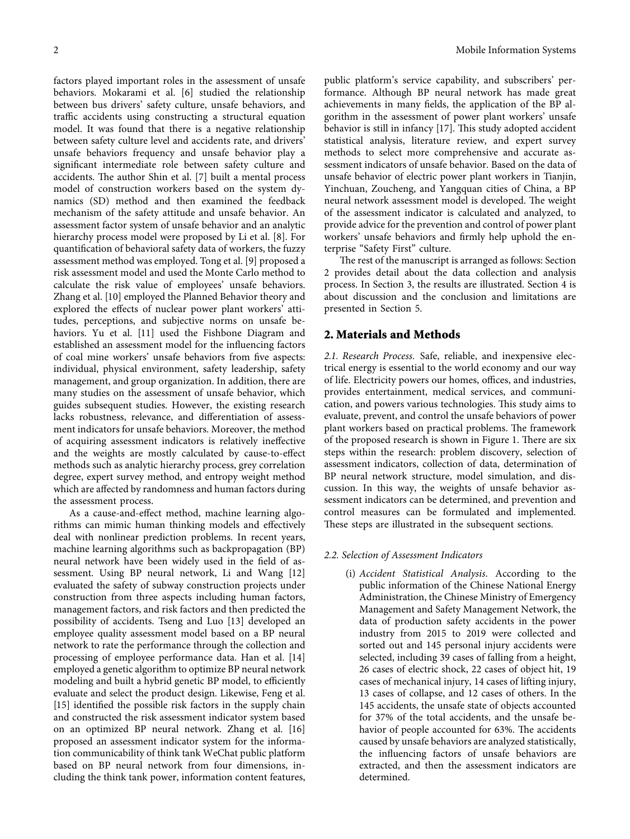factors played important roles in the assessment of unsafe behaviors. Mokarami et al. [\[6](#page-10-0)] studied the relationship between bus drivers' safety culture, unsafe behaviors, and traffic accidents using constructing a structural equation model. It was found that there is a negative relationship between safety culture level and accidents rate, and drivers' unsafe behaviors frequency and unsafe behavior play a significant intermediate role between safety culture and accidents. The author Shin et al. [\[7](#page-10-0)] built a mental process model of construction workers based on the system dynamics (SD) method and then examined the feedback mechanism of the safety attitude and unsafe behavior. An assessment factor system of unsafe behavior and an analytic hierarchy process model were proposed by Li et al. [[8](#page-10-0)]. For quantification of behavioral safety data of workers, the fuzzy assessment method was employed. Tong et al. [[9\]](#page-10-0) proposed a risk assessment model and used the Monte Carlo method to calculate the risk value of employees' unsafe behaviors. Zhang et al. [\[10](#page-10-0)] employed the Planned Behavior theory and explored the effects of nuclear power plant workers' attitudes, perceptions, and subjective norms on unsafe behaviors. Yu et al. [[11\]](#page-10-0) used the Fishbone Diagram and established an assessment model for the influencing factors of coal mine workers' unsafe behaviors from five aspects: individual, physical environment, safety leadership, safety management, and group organization. In addition, there are many studies on the assessment of unsafe behavior, which guides subsequent studies. However, the existing research lacks robustness, relevance, and differentiation of assessment indicators for unsafe behaviors. Moreover, the method of acquiring assessment indicators is relatively ineffective and the weights are mostly calculated by cause-to-effect methods such as analytic hierarchy process, grey correlation degree, expert survey method, and entropy weight method which are affected by randomness and human factors during the assessment process.

As a cause-and-effect method, machine learning algorithms can mimic human thinking models and effectively deal with nonlinear prediction problems. In recent years, machine learning algorithms such as backpropagation (BP) neural network have been widely used in the field of assessment. Using BP neural network, Li and Wang [[12\]](#page-10-0) evaluated the safety of subway construction projects under construction from three aspects including human factors, management factors, and risk factors and then predicted the possibility of accidents. Tseng and Luo [\[13](#page-10-0)] developed an employee quality assessment model based on a BP neural network to rate the performance through the collection and processing of employee performance data. Han et al. [[14\]](#page-10-0) employed a genetic algorithm to optimize BP neural network modeling and built a hybrid genetic BP model, to efficiently evaluate and select the product design. Likewise, Feng et al. [\[15](#page-10-0)] identified the possible risk factors in the supply chain and constructed the risk assessment indicator system based on an optimized BP neural network. Zhang et al. [[16\]](#page-10-0) proposed an assessment indicator system for the information communicability of think tank WeChat public platform based on BP neural network from four dimensions, including the think tank power, information content features,

public platform's service capability, and subscribers' performance. Although BP neural network has made great achievements in many fields, the application of the BP algorithm in the assessment of power plant workers' unsafe behavior is still in infancy  $[17]$  $[17]$ . This study adopted accident statistical analysis, literature review, and expert survey methods to select more comprehensive and accurate assessment indicators of unsafe behavior. Based on the data of unsafe behavior of electric power plant workers in Tianjin, Yinchuan, Zoucheng, and Yangquan cities of China, a BP neural network assessment model is developed. The weight of the assessment indicator is calculated and analyzed, to provide advice for the prevention and control of power plant workers' unsafe behaviors and firmly help uphold the enterprise "Safety First" culture.

The rest of the manuscript is arranged as follows: Section 2 provides detail about the data collection and analysis process. In Section [3,](#page-6-0) the results are illustrated. Section [4](#page-7-0) is about discussion and the conclusion and limitations are presented in Section [5](#page-9-0).

# **2. Materials and Methods**

*2.1. Research Process.* Safe, reliable, and inexpensive electrical energy is essential to the world economy and our way of life. Electricity powers our homes, offices, and industries, provides entertainment, medical services, and communication, and powers various technologies. This study aims to evaluate, prevent, and control the unsafe behaviors of power plant workers based on practical problems. The framework of the proposed research is shown in Figure [1.](#page-2-0) There are six steps within the research: problem discovery, selection of assessment indicators, collection of data, determination of BP neural network structure, model simulation, and discussion. In this way, the weights of unsafe behavior assessment indicators can be determined, and prevention and control measures can be formulated and implemented. These steps are illustrated in the subsequent sections.

#### *2.2. Selection of Assessment Indicators*

(i) *Accident Statistical Analysis*. According to the public information of the Chinese National Energy Administration, the Chinese Ministry of Emergency Management and Safety Management Network, the data of production safety accidents in the power industry from 2015 to 2019 were collected and sorted out and 145 personal injury accidents were selected, including 39 cases of falling from a height, 26 cases of electric shock, 22 cases of object hit, 19 cases of mechanical injury, 14 cases of lifting injury, 13 cases of collapse, and 12 cases of others. In the 145 accidents, the unsafe state of objects accounted for 37% of the total accidents, and the unsafe behavior of people accounted for 63%. The accidents caused by unsafe behaviors are analyzed statistically, the influencing factors of unsafe behaviors are extracted, and then the assessment indicators are determined.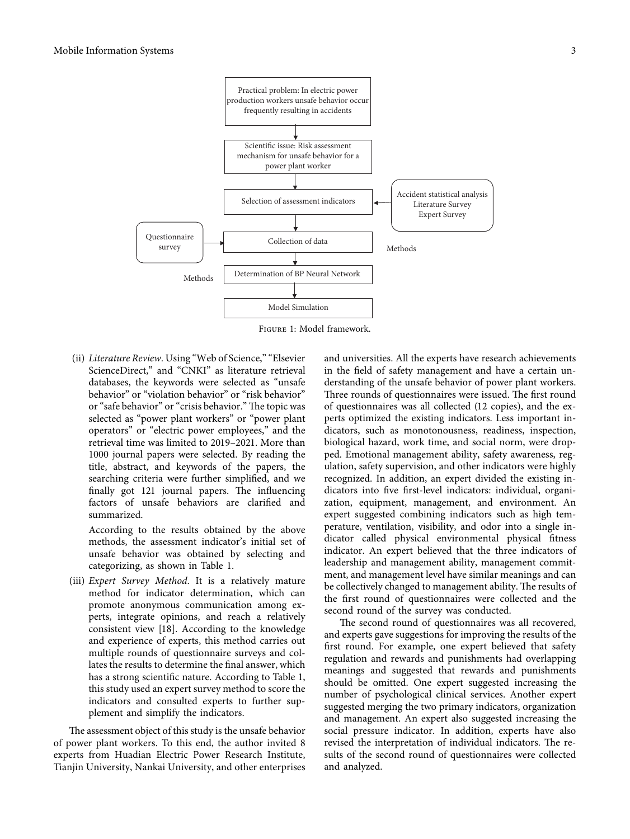<span id="page-2-0"></span>

Figure 1: Model framework.

(ii) *Literature Review*. Using "Web of Science," "Elsevier ScienceDirect," and "CNKI" as literature retrieval databases, the keywords were selected as "unsafe behavior" or "violation behavior" or "risk behavior" or "safe behavior" or "crisis behavior." The topic was selected as "power plant workers" or "power plant operators" or "electric power employees," and the retrieval time was limited to 2019–2021. More than 1000 journal papers were selected. By reading the title, abstract, and keywords of the papers, the searching criteria were further simplified, and we finally got 121 journal papers. The influencing factors of unsafe behaviors are clarified and summarized.

According to the results obtained by the above methods, the assessment indicator's initial set of unsafe behavior was obtained by selecting and categorizing, as shown in Table [1.](#page-3-0)

(iii) *Expert Survey Method*. It is a relatively mature method for indicator determination, which can promote anonymous communication among experts, integrate opinions, and reach a relatively consistent view [[18\]](#page-10-0). According to the knowledge and experience of experts, this method carries out multiple rounds of questionnaire surveys and collates the results to determine the final answer, which has a strong scientific nature. According to Table [1,](#page-3-0) this study used an expert survey method to score the indicators and consulted experts to further supplement and simplify the indicators.

The assessment object of this study is the unsafe behavior of power plant workers. To this end, the author invited 8 experts from Huadian Electric Power Research Institute, Tianjin University, Nankai University, and other enterprises

and universities. All the experts have research achievements in the field of safety management and have a certain understanding of the unsafe behavior of power plant workers. Three rounds of questionnaires were issued. The first round of questionnaires was all collected (12 copies), and the experts optimized the existing indicators. Less important indicators, such as monotonousness, readiness, inspection, biological hazard, work time, and social norm, were dropped. Emotional management ability, safety awareness, regulation, safety supervision, and other indicators were highly recognized. In addition, an expert divided the existing indicators into five first-level indicators: individual, organization, equipment, management, and environment. An expert suggested combining indicators such as high temperature, ventilation, visibility, and odor into a single indicator called physical environmental physical fitness indicator. An expert believed that the three indicators of leadership and management ability, management commitment, and management level have similar meanings and can be collectively changed to management ability. The results of the first round of questionnaires were collected and the second round of the survey was conducted.

The second round of questionnaires was all recovered, and experts gave suggestions for improving the results of the first round. For example, one expert believed that safety regulation and rewards and punishments had overlapping meanings and suggested that rewards and punishments should be omitted. One expert suggested increasing the number of psychological clinical services. Another expert suggested merging the two primary indicators, organization and management. An expert also suggested increasing the social pressure indicator. In addition, experts have also revised the interpretation of individual indicators. The results of the second round of questionnaires were collected and analyzed.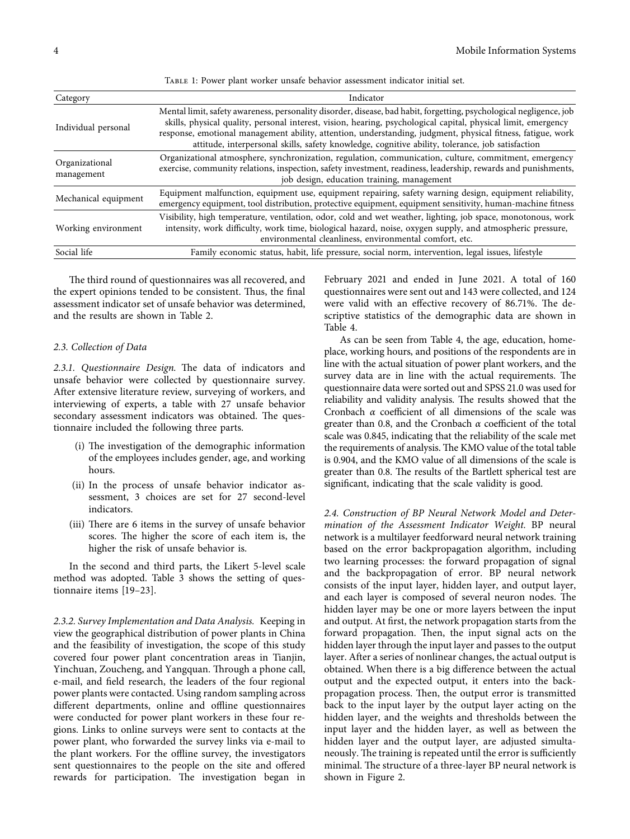| TABLE 1: Power plant worker unsafe behavior assessment indicator initial set. |  |  |
|-------------------------------------------------------------------------------|--|--|
|-------------------------------------------------------------------------------|--|--|

<span id="page-3-0"></span>

| Category                     | Indicator                                                                                                                                                                                                                                                                                                                                                                                                                                                |
|------------------------------|----------------------------------------------------------------------------------------------------------------------------------------------------------------------------------------------------------------------------------------------------------------------------------------------------------------------------------------------------------------------------------------------------------------------------------------------------------|
| Individual personal          | Mental limit, safety awareness, personality disorder, disease, bad habit, forgetting, psychological negligence, job<br>skills, physical quality, personal interest, vision, hearing, psychological capital, physical limit, emergency<br>response, emotional management ability, attention, understanding, judgment, physical fitness, fatigue, work<br>attitude, interpersonal skills, safety knowledge, cognitive ability, tolerance, job satisfaction |
| Organizational<br>management | Organizational atmosphere, synchronization, regulation, communication, culture, commitment, emergency<br>exercise, community relations, inspection, safety investment, readiness, leadership, rewards and punishments,<br>job design, education training, management                                                                                                                                                                                     |
| Mechanical equipment         | Equipment malfunction, equipment use, equipment repairing, safety warning design, equipment reliability,<br>emergency equipment, tool distribution, protective equipment, equipment sensitivity, human-machine fitness                                                                                                                                                                                                                                   |
| Working environment          | Visibility, high temperature, ventilation, odor, cold and wet weather, lighting, job space, monotonous, work<br>intensity, work difficulty, work time, biological hazard, noise, oxygen supply, and atmospheric pressure,<br>environmental cleanliness, environmental comfort, etc.                                                                                                                                                                      |
| Social life                  | Family economic status, habit, life pressure, social norm, intervention, legal issues, lifestyle                                                                                                                                                                                                                                                                                                                                                         |

The third round of questionnaires was all recovered, and the expert opinions tended to be consistent. Thus, the final assessment indicator set of unsafe behavior was determined, and the results are shown in Table [2.](#page-4-0)

#### *2.3. Collection of Data*

2.3.1. Questionnaire Design. The data of indicators and unsafe behavior were collected by questionnaire survey. After extensive literature review, surveying of workers, and interviewing of experts, a table with 27 unsafe behavior secondary assessment indicators was obtained. The questionnaire included the following three parts.

- (i) The investigation of the demographic information of the employees includes gender, age, and working hours.
- (ii) In the process of unsafe behavior indicator assessment, 3 choices are set for 27 second-level indicators.
- (iii) There are 6 items in the survey of unsafe behavior scores. The higher the score of each item is, the higher the risk of unsafe behavior is.

In the second and third parts, the Likert 5-level scale method was adopted. Table [3](#page-5-0) shows the setting of questionnaire items [\[19–23](#page-10-0)].

*2.3.2. Survey Implementation and Data Analysis.* Keeping in view the geographical distribution of power plants in China and the feasibility of investigation, the scope of this study covered four power plant concentration areas in Tianjin, Yinchuan, Zoucheng, and Yangquan. Through a phone call, e-mail, and field research, the leaders of the four regional power plants were contacted. Using random sampling across different departments, online and offline questionnaires were conducted for power plant workers in these four regions. Links to online surveys were sent to contacts at the power plant, who forwarded the survey links via e-mail to the plant workers. For the offline survey, the investigators sent questionnaires to the people on the site and offered rewards for participation. The investigation began in

February 2021 and ended in June 2021. A total of 160 questionnaires were sent out and 143 were collected, and 124 were valid with an effective recovery of 86.71%. The descriptive statistics of the demographic data are shown in Table [4.](#page-5-0)

As can be seen from Table [4](#page-5-0), the age, education, homeplace, working hours, and positions of the respondents are in line with the actual situation of power plant workers, and the survey data are in line with the actual requirements. The questionnaire data were sorted out and SPSS 21.0 was used for reliability and validity analysis. The results showed that the Cronbach *α* coefficient of all dimensions of the scale was greater than 0.8, and the Cronbach *α* coefficient of the total scale was 0.845, indicating that the reliability of the scale met the requirements of analysis. The KMO value of the total table is 0.904, and the KMO value of all dimensions of the scale is greater than 0.8. The results of the Bartlett spherical test are significant, indicating that the scale validity is good.

*2.4. Construction of BP Neural Network Model and Determination of the Assessment Indicator Weight.* BP neural network is a multilayer feedforward neural network training based on the error backpropagation algorithm, including two learning processes: the forward propagation of signal and the backpropagation of error. BP neural network consists of the input layer, hidden layer, and output layer, and each layer is composed of several neuron nodes. The hidden layer may be one or more layers between the input and output. At first, the network propagation starts from the forward propagation. Then, the input signal acts on the hidden layer through the input layer and passes to the output layer. After a series of nonlinear changes, the actual output is obtained. When there is a big difference between the actual output and the expected output, it enters into the backpropagation process. Then, the output error is transmitted back to the input layer by the output layer acting on the hidden layer, and the weights and thresholds between the input layer and the hidden layer, as well as between the hidden layer and the output layer, are adjusted simultaneously. The training is repeated until the error is sufficiently minimal. The structure of a three-layer BP neural network is shown in Figure [2](#page-6-0).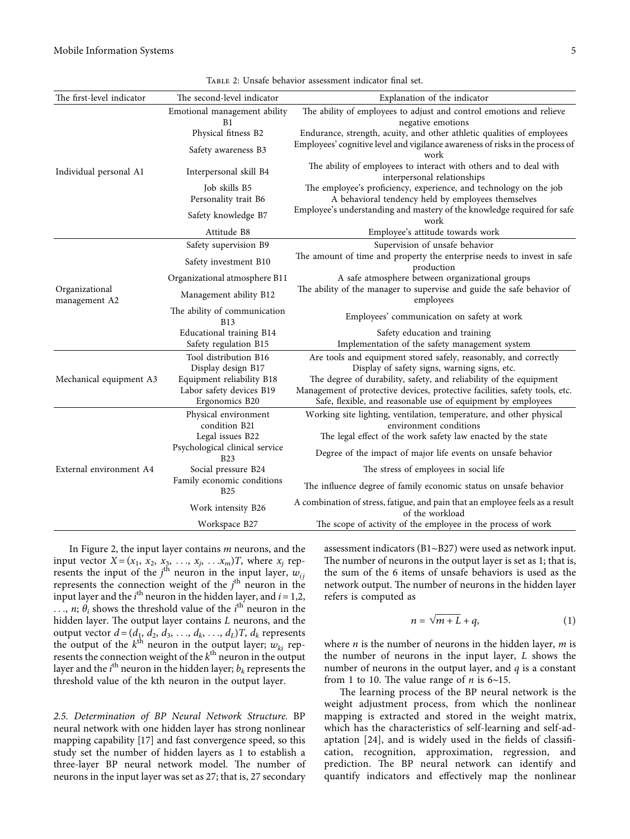<span id="page-4-0"></span>

| The first-level indicator       | The second-level indicator                   | Explanation of the indicator                                                                                                                |  |  |  |  |  |
|---------------------------------|----------------------------------------------|---------------------------------------------------------------------------------------------------------------------------------------------|--|--|--|--|--|
|                                 | Emotional management ability<br>B1           | The ability of employees to adjust and control emotions and relieve<br>negative emotions                                                    |  |  |  |  |  |
|                                 | Physical fitness B2                          | Endurance, strength, acuity, and other athletic qualities of employees                                                                      |  |  |  |  |  |
|                                 | Safety awareness B3                          | Employees' cognitive level and vigilance awareness of risks in the process of<br>work                                                       |  |  |  |  |  |
| Individual personal A1          | Interpersonal skill B4                       | The ability of employees to interact with others and to deal with<br>interpersonal relationships                                            |  |  |  |  |  |
|                                 | Job skills B5                                | The employee's proficiency, experience, and technology on the job                                                                           |  |  |  |  |  |
|                                 | Personality trait B6                         | A behavioral tendency held by employees themselves                                                                                          |  |  |  |  |  |
|                                 | Safety knowledge B7                          | Employee's understanding and mastery of the knowledge required for safe<br>work                                                             |  |  |  |  |  |
|                                 | Attitude B8                                  | Employee's attitude towards work                                                                                                            |  |  |  |  |  |
|                                 | Safety supervision B9                        | Supervision of unsafe behavior                                                                                                              |  |  |  |  |  |
|                                 | Safety investment B10                        | The amount of time and property the enterprise needs to invest in safe<br>production                                                        |  |  |  |  |  |
|                                 | Organizational atmosphere B11                | A safe atmosphere between organizational groups                                                                                             |  |  |  |  |  |
| Organizational<br>management A2 | Management ability B12                       | The ability of the manager to supervise and guide the safe behavior of<br>employees                                                         |  |  |  |  |  |
|                                 | The ability of communication<br><b>B13</b>   | Employees' communication on safety at work                                                                                                  |  |  |  |  |  |
|                                 | Educational training B14                     | Safety education and training                                                                                                               |  |  |  |  |  |
|                                 | Safety regulation B15                        | Implementation of the safety management system                                                                                              |  |  |  |  |  |
|                                 | Tool distribution B16<br>Display design B17  | Are tools and equipment stored safely, reasonably, and correctly<br>Display of safety signs, warning signs, etc.                            |  |  |  |  |  |
| Mechanical equipment A3         | Equipment reliability B18                    | The degree of durability, safety, and reliability of the equipment                                                                          |  |  |  |  |  |
|                                 | Labor safety devices B19<br>Ergonomics B20   | Management of protective devices, protective facilities, safety tools, etc.<br>Safe, flexible, and reasonable use of equipment by employees |  |  |  |  |  |
|                                 | Physical environment<br>condition B21        | Working site lighting, ventilation, temperature, and other physical<br>environment conditions                                               |  |  |  |  |  |
|                                 | Legal issues B22                             | The legal effect of the work safety law enacted by the state                                                                                |  |  |  |  |  |
|                                 | Psychological clinical service<br><b>B23</b> | Degree of the impact of major life events on unsafe behavior                                                                                |  |  |  |  |  |
| External environment A4         | Social pressure B24                          | The stress of employees in social life                                                                                                      |  |  |  |  |  |
|                                 | Family economic conditions<br><b>B25</b>     | The influence degree of family economic status on unsafe behavior                                                                           |  |  |  |  |  |
|                                 | Work intensity B26                           | A combination of stress, fatigue, and pain that an employee feels as a result<br>of the workload                                            |  |  |  |  |  |
|                                 | Workspace B27                                | The scope of activity of the employee in the process of work                                                                                |  |  |  |  |  |

Table 2: Unsafe behavior assessment indicator final set.

In Figure [2](#page-6-0), the input layer contains *m* neurons, and the input vector  $X = (x_1, x_2, x_3, \ldots, x_j, \ldots, x_m)T$ , where  $x_j$  represents the input of the  $j^{\text{th}}$  neuron in the input layer,  $w_{ij}$ represents the connection weight of the *j*<sup>th</sup> neuron in the input layer and the  $i<sup>th</sup>$  neuron in the hidden layer, and  $i = 1, 2$ ,  $\ldots$ , *n*;  $\theta_i$  shows the threshold value of the *i*<sup>th</sup> neuron in the hidden layer. The output layer contains *L* neurons, and the output vector  $d = (d_1, d_2, d_3, \ldots, d_k, \ldots, d_L)T$ ,  $d_k$  represents the output of the  $k^{\text{th}}$  neuron in the output layer;  $w_{ki}$  represents the connection weight of the  $k<sup>th</sup>$  neuron in the output layer and the  $i^{\text{th}}$  neuron in the hidden layer;  $b_k$  represents the threshold value of the kth neuron in the output layer.

*2.5. Determination of BP Neural Network Structure.* BP neural network with one hidden layer has strong nonlinear mapping capability [\[17](#page-10-0)] and fast convergence speed, so this study set the number of hidden layers as 1 to establish a three-layer BP neural network model. The number of neurons in the input layer was set as 27; that is, 27 secondary

assessment indicators (B1∼B27) were used as network input. The number of neurons in the output layer is set as 1; that is, the sum of the 6 items of unsafe behaviors is used as the network output. The number of neurons in the hidden layer refers is computed as

$$
n = \sqrt{m+L} + q,\tag{1}
$$

where *n* is the number of neurons in the hidden layer, *m* is the number of neurons in the input layer, *L* shows the number of neurons in the output layer, and *q* is a constant from 1 to 10. The value range of *n* is 6∼15.

The learning process of the BP neural network is the weight adjustment process, from which the nonlinear mapping is extracted and stored in the weight matrix, which has the characteristics of self-learning and self-adaptation [\[24](#page-10-0)], and is widely used in the fields of classification, recognition, approximation, regression, and prediction. The BP neural network can identify and quantify indicators and effectively map the nonlinear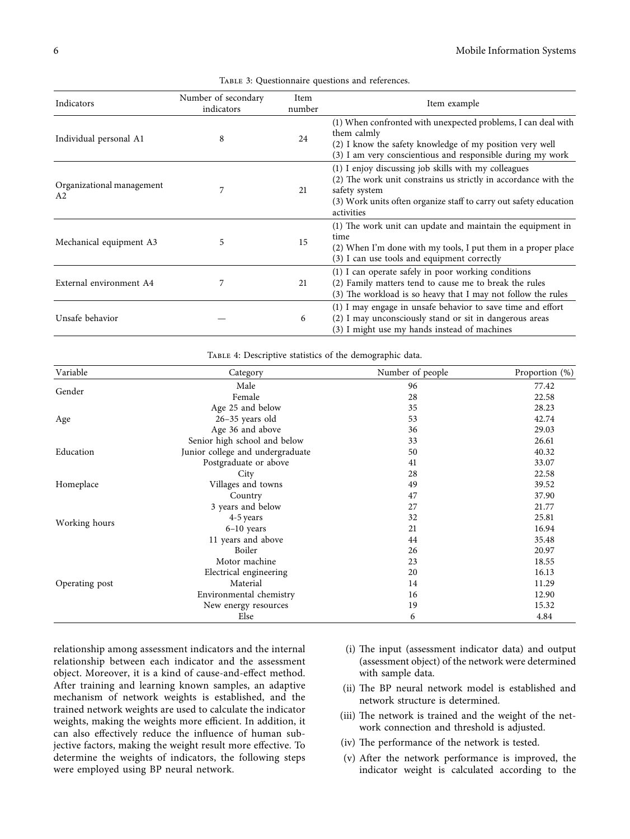<span id="page-5-0"></span>

| Indicators                                  | Number of secondary<br>indicators | Item<br>number | Item example                                                                                                                                                                                                                |
|---------------------------------------------|-----------------------------------|----------------|-----------------------------------------------------------------------------------------------------------------------------------------------------------------------------------------------------------------------------|
| Individual personal A1                      | 8                                 | 24             | (1) When confronted with unexpected problems, I can deal with<br>them calmly<br>(2) I know the safety knowledge of my position very well<br>(3) I am very conscientious and responsible during my work                      |
| Organizational management<br>A <sub>2</sub> |                                   | 21             | (1) I enjoy discussing job skills with my colleagues<br>(2) The work unit constrains us strictly in accordance with the<br>safety system<br>(3) Work units often organize staff to carry out safety education<br>activities |
| Mechanical equipment A3                     | 5                                 | 15             | (1) The work unit can update and maintain the equipment in<br>time<br>(2) When I'm done with my tools, I put them in a proper place<br>(3) I can use tools and equipment correctly                                          |
| External environment A4                     | 7                                 | 21             | (1) I can operate safely in poor working conditions<br>(2) Family matters tend to cause me to break the rules<br>(3) The workload is so heavy that I may not follow the rules                                               |
| Unsafe behavior                             |                                   | 6              | (1) I may engage in unsafe behavior to save time and effort<br>(2) I may unconsciously stand or sit in dangerous areas<br>(3) I might use my hands instead of machines                                                      |

Table 3: Questionnaire questions and references.

Table 4: Descriptive statistics of the demographic data.

| Variable                                         | Category                         | Number of people                                                                                                          | Proportion (%) |
|--------------------------------------------------|----------------------------------|---------------------------------------------------------------------------------------------------------------------------|----------------|
|                                                  | Male                             | 96                                                                                                                        | 77.42          |
|                                                  | Female                           | 28<br>35<br>53<br>36<br>33<br>50<br>41<br>28<br>49<br>47<br>27<br>32<br>21<br>44<br>26<br>23<br>20<br>14<br>16<br>19<br>6 | 22.58          |
|                                                  | Age 25 and below                 |                                                                                                                           | 28.23          |
|                                                  | $26-35$ years old                |                                                                                                                           | 42.74          |
|                                                  | Age 36 and above                 |                                                                                                                           | 29.03          |
|                                                  | Senior high school and below     |                                                                                                                           | 26.61          |
| Education                                        | Junior college and undergraduate |                                                                                                                           | 40.32          |
|                                                  | Postgraduate or above            |                                                                                                                           | 33.07          |
|                                                  | City                             |                                                                                                                           | 22.58          |
| Homeplace                                        | Villages and towns               |                                                                                                                           | 39.52          |
|                                                  | Country                          |                                                                                                                           | 37.90          |
|                                                  | 3 years and below                |                                                                                                                           | 21.77          |
| Gender<br>Age<br>Working hours<br>Operating post | 4-5 years                        |                                                                                                                           | 25.81          |
|                                                  | 6-10 years                       |                                                                                                                           | 16.94          |
|                                                  | 11 years and above               |                                                                                                                           | 35.48          |
|                                                  | Boiler                           |                                                                                                                           | 20.97          |
|                                                  | Motor machine                    |                                                                                                                           | 18.55          |
|                                                  | Electrical engineering           |                                                                                                                           | 16.13          |
|                                                  | Material                         |                                                                                                                           | 11.29          |
|                                                  | Environmental chemistry          |                                                                                                                           | 12.90          |
|                                                  | New energy resources             |                                                                                                                           | 15.32          |
|                                                  | Else                             |                                                                                                                           | 4.84           |

relationship among assessment indicators and the internal relationship between each indicator and the assessment object. Moreover, it is a kind of cause-and-effect method. After training and learning known samples, an adaptive mechanism of network weights is established, and the trained network weights are used to calculate the indicator weights, making the weights more efficient. In addition, it can also effectively reduce the influence of human subjective factors, making the weight result more effective. To determine the weights of indicators, the following steps were employed using BP neural network.

- (i) The input (assessment indicator data) and output (assessment object) of the network were determined with sample data.
- (ii) The BP neural network model is established and network structure is determined.
- (iii) The network is trained and the weight of the network connection and threshold is adjusted.
- (iv) The performance of the network is tested.
- (v) After the network performance is improved, the indicator weight is calculated according to the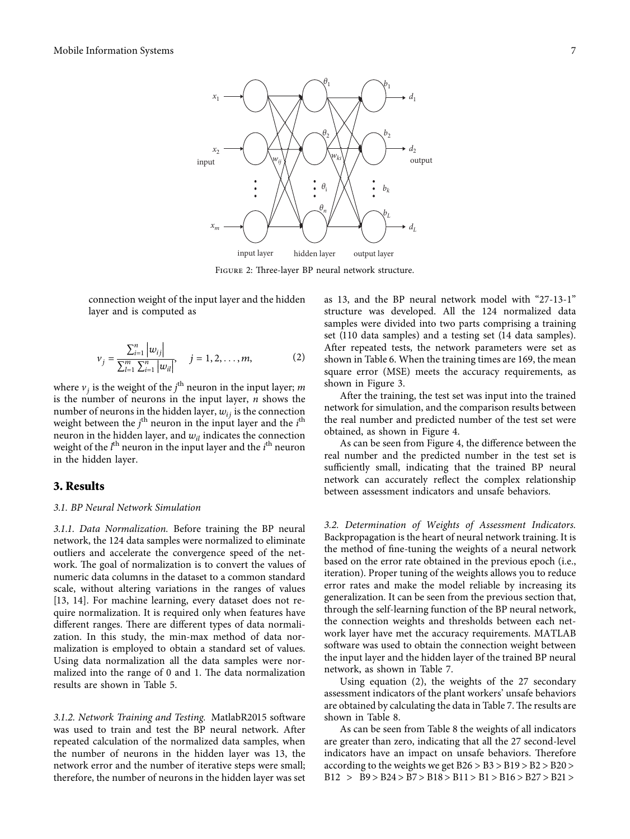<span id="page-6-0"></span>

FIGURE 2: Three-layer BP neural network structure.

connection weight of the input layer and the hidden layer and is computed as

$$
v_j = \frac{\sum_{i=1}^n |w_{ij}|}{\sum_{l=1}^m \sum_{i=1}^n |w_{il}|}, \quad j = 1, 2, ..., m,
$$
 (2)

where  $v_j$  is the weight of the  $j^{\text{th}}$  neuron in the input layer; *m* is the number of neurons in the input layer, *n* shows the number of neurons in the hidden layer,  $w_{ij}$  is the connection weight between the *j*<sup>th</sup> neuron in the input layer and the *i*<sup>th</sup> neuron in the hidden layer, and  $w_{il}$  indicates the connection weight of the *l*<sup>th</sup> neuron in the input layer and the *i*<sup>th</sup> neuron in the hidden layer.

#### **3. Results**

#### *3.1. BP Neural Network Simulation*

*3.1.1. Data Normalization.* Before training the BP neural network, the 124 data samples were normalized to eliminate outliers and accelerate the convergence speed of the network. The goal of normalization is to convert the values of numeric data columns in the dataset to a common standard scale, without altering variations in the ranges of values [\[13](#page-10-0), [14](#page-10-0)]. For machine learning, every dataset does not require normalization. It is required only when features have different ranges. There are different types of data normalization. In this study, the min-max method of data normalization is employed to obtain a standard set of values. Using data normalization all the data samples were normalized into the range of  $0$  and  $1$ . The data normalization results are shown in Table [5.](#page-7-0)

*3.1.2. Network Training and Testing.* MatlabR2015 software was used to train and test the BP neural network. After repeated calculation of the normalized data samples, when the number of neurons in the hidden layer was 13, the network error and the number of iterative steps were small; therefore, the number of neurons in the hidden layer was set

as 13, and the BP neural network model with "27-13-1" structure was developed. All the 124 normalized data samples were divided into two parts comprising a training set (110 data samples) and a testing set (14 data samples). After repeated tests, the network parameters were set as shown in Table [6.](#page-7-0) When the training times are 169, the mean square error (MSE) meets the accuracy requirements, as shown in Figure [3](#page-7-0).

After the training, the test set was input into the trained network for simulation, and the comparison results between the real number and predicted number of the test set were obtained, as shown in Figure [4](#page-8-0).

As can be seen from Figure [4,](#page-8-0) the difference between the real number and the predicted number in the test set is sufficiently small, indicating that the trained BP neural network can accurately reflect the complex relationship between assessment indicators and unsafe behaviors.

*3.2. Determination of Weights of Assessment Indicators.* Backpropagation is the heart of neural network training. It is the method of fine-tuning the weights of a neural network based on the error rate obtained in the previous epoch (i.e., iteration). Proper tuning of the weights allows you to reduce error rates and make the model reliable by increasing its generalization. It can be seen from the previous section that, through the self-learning function of the BP neural network, the connection weights and thresholds between each network layer have met the accuracy requirements. MATLAB software was used to obtain the connection weight between the input layer and the hidden layer of the trained BP neural network, as shown in Table [7.](#page-8-0)

Using equation (2), the weights of the 27 secondary assessment indicators of the plant workers' unsafe behaviors are obtained by calculating the data in Table [7](#page-8-0). The results are shown in Table [8.](#page-9-0)

As can be seen from Table [8](#page-9-0) the weights of all indicators are greater than zero, indicating that all the 27 second-level indicators have an impact on unsafe behaviors. Therefore according to the weights we get  $B26 > B3 > B19 > B2 > B20 >$ B12 > B9 > B24 > B7 > B18 > B11 > B1 > B16 > B27 > B21 >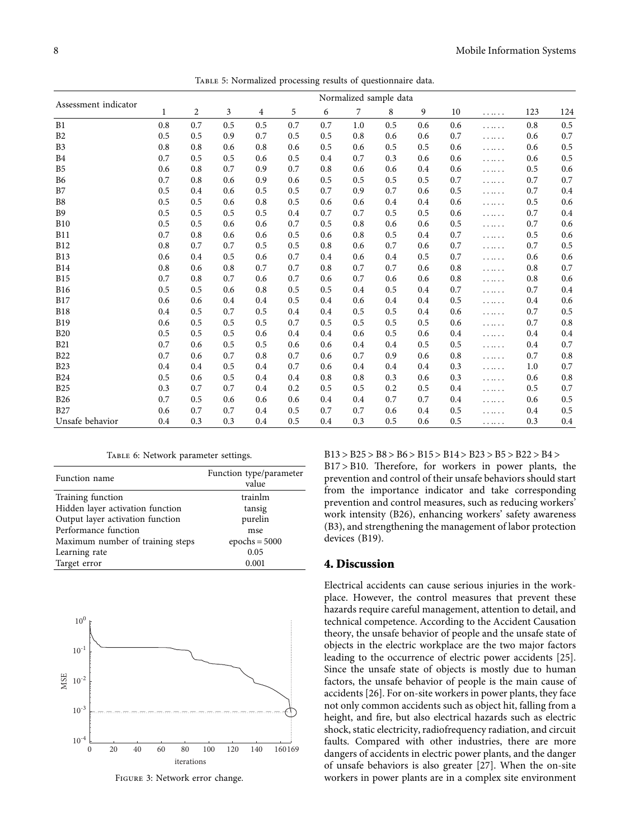<span id="page-7-0"></span>

|                      | Normalized sample data |                |     |     |     |     |     |         |     |     |   |     |     |
|----------------------|------------------------|----------------|-----|-----|-----|-----|-----|---------|-----|-----|---|-----|-----|
| Assessment indicator | 1                      | $\overline{c}$ | 3   | 4   | 5   | 6   | 7   | 8       | 9   | 10  |   | 123 | 124 |
| B1                   | 0.8                    | 0.7            | 0.5 | 0.5 | 0.7 | 0.7 | 1.0 | 0.5     | 0.6 | 0.6 |   | 0.8 | 0.5 |
| B2                   | 0.5                    | 0.5            | 0.9 | 0.7 | 0.5 | 0.5 | 0.8 | 0.6     | 0.6 | 0.7 |   | 0.6 | 0.7 |
| B3                   | 0.8                    | 0.8            | 0.6 | 0.8 | 0.6 | 0.5 | 0.6 | 0.5     | 0.5 | 0.6 |   | 0.6 | 0.5 |
| B <sub>4</sub>       | 0.7                    | 0.5            | 0.5 | 0.6 | 0.5 | 0.4 | 0.7 | 0.3     | 0.6 | 0.6 |   | 0.6 | 0.5 |
| B5                   | 0.6                    | 0.8            | 0.7 | 0.9 | 0.7 | 0.8 | 0.6 | 0.6     | 0.4 | 0.6 | . | 0.5 | 0.6 |
| <b>B6</b>            | 0.7                    | 0.8            | 0.6 | 0.9 | 0.6 | 0.5 | 0.5 | 0.5     | 0.5 | 0.7 |   | 0.7 | 0.7 |
| B7                   | 0.5                    | 0.4            | 0.6 | 0.5 | 0.5 | 0.7 | 0.9 | 0.7     | 0.6 | 0.5 |   | 0.7 | 0.4 |
| B <sub>8</sub>       | 0.5                    | 0.5            | 0.6 | 0.8 | 0.5 | 0.6 | 0.6 | $0.4\,$ | 0.4 | 0.6 |   | 0.5 | 0.6 |
| <b>B9</b>            | 0.5                    | 0.5            | 0.5 | 0.5 | 0.4 | 0.7 | 0.7 | 0.5     | 0.5 | 0.6 |   | 0.7 | 0.4 |
| <b>B10</b>           | 0.5                    | 0.5            | 0.6 | 0.6 | 0.7 | 0.5 | 0.8 | 0.6     | 0.6 | 0.5 |   | 0.7 | 0.6 |
| <b>B11</b>           | 0.7                    | 0.8            | 0.6 | 0.6 | 0.5 | 0.6 | 0.8 | 0.5     | 0.4 | 0.7 |   | 0.5 | 0.6 |
| <b>B12</b>           | 0.8                    | 0.7            | 0.7 | 0.5 | 0.5 | 0.8 | 0.6 | 0.7     | 0.6 | 0.7 | . | 0.7 | 0.5 |
| <b>B13</b>           | 0.6                    | 0.4            | 0.5 | 0.6 | 0.7 | 0.4 | 0.6 | $0.4\,$ | 0.5 | 0.7 |   | 0.6 | 0.6 |
| <b>B14</b>           | 0.8                    | 0.6            | 0.8 | 0.7 | 0.7 | 0.8 | 0.7 | 0.7     | 0.6 | 0.8 |   | 0.8 | 0.7 |
| <b>B15</b>           | 0.7                    | 0.8            | 0.7 | 0.6 | 0.7 | 0.6 | 0.7 | 0.6     | 0.6 | 0.8 |   | 0.8 | 0.6 |
| <b>B16</b>           | 0.5                    | 0.5            | 0.6 | 0.8 | 0.5 | 0.5 | 0.4 | 0.5     | 0.4 | 0.7 |   | 0.7 | 0.4 |
| <b>B17</b>           | 0.6                    | 0.6            | 0.4 | 0.4 | 0.5 | 0.4 | 0.6 | 0.4     | 0.4 | 0.5 |   | 0.4 | 0.6 |
| <b>B18</b>           | 0.4                    | 0.5            | 0.7 | 0.5 | 0.4 | 0.4 | 0.5 | 0.5     | 0.4 | 0.6 |   | 0.7 | 0.5 |
| <b>B19</b>           | 0.6                    | 0.5            | 0.5 | 0.5 | 0.7 | 0.5 | 0.5 | 0.5     | 0.5 | 0.6 |   | 0.7 | 0.8 |
| <b>B20</b>           | 0.5                    | 0.5            | 0.5 | 0.6 | 0.4 | 0.4 | 0.6 | 0.5     | 0.6 | 0.4 |   | 0.4 | 0.4 |
| <b>B21</b>           | 0.7                    | 0.6            | 0.5 | 0.5 | 0.6 | 0.6 | 0.4 | 0.4     | 0.5 | 0.5 |   | 0.4 | 0.7 |
| <b>B22</b>           | 0.7                    | 0.6            | 0.7 | 0.8 | 0.7 | 0.6 | 0.7 | 0.9     | 0.6 | 0.8 |   | 0.7 | 0.8 |
| <b>B23</b>           | 0.4                    | 0.4            | 0.5 | 0.4 | 0.7 | 0.6 | 0.4 | 0.4     | 0.4 | 0.3 |   | 1.0 | 0.7 |
| <b>B24</b>           | 0.5                    | 0.6            | 0.5 | 0.4 | 0.4 | 0.8 | 0.8 | 0.3     | 0.6 | 0.3 |   | 0.6 | 0.8 |
| <b>B25</b>           | 0.3                    | 0.7            | 0.7 | 0.4 | 0.2 | 0.5 | 0.5 | 0.2     | 0.5 | 0.4 |   | 0.5 | 0.7 |
| <b>B26</b>           | 0.7                    | 0.5            | 0.6 | 0.6 | 0.6 | 0.4 | 0.4 | 0.7     | 0.7 | 0.4 |   | 0.6 | 0.5 |
| <b>B27</b>           | 0.6                    | 0.7            | 0.7 | 0.4 | 0.5 | 0.7 | 0.7 | 0.6     | 0.4 | 0.5 |   | 0.4 | 0.5 |
| Unsafe behavior      | 0.4                    | 0.3            | 0.3 | 0.4 | 0.5 | 0.4 | 0.3 | 0.5     | 0.6 | 0.5 |   | 0.3 | 0.4 |

Table 5: Normalized processing results of questionnaire data.

Table 6: Network parameter settings.

| Function name                    | Function type/parameter<br>value |
|----------------------------------|----------------------------------|
| Training function                | trainlm                          |
| Hidden layer activation function | tansig                           |
| Output layer activation function | purelin                          |
| Performance function             | mse                              |
| Maximum number of training steps | epochs = $5000$                  |
| Learning rate                    | 0.05                             |
| Target error                     | 0.001                            |



Figure 3: Network error change.

B13 > B25 > B8 > B6 > B15 > B14 > B23 > B5 > B22 > B4 >

 $B17 > B10$ . Therefore, for workers in power plants, the prevention and control of their unsafe behaviors should start from the importance indicator and take corresponding prevention and control measures, such as reducing workers' work intensity (B26), enhancing workers' safety awareness (B3), and strengthening the management of labor protection devices (B19).

#### **4. Discussion**

Electrical accidents can cause serious injuries in the workplace. However, the control measures that prevent these hazards require careful management, attention to detail, and technical competence. According to the Accident Causation theory, the unsafe behavior of people and the unsafe state of objects in the electric workplace are the two major factors leading to the occurrence of electric power accidents [[25](#page-10-0)]. Since the unsafe state of objects is mostly due to human factors, the unsafe behavior of people is the main cause of accidents [\[26](#page-10-0)]. For on-site workers in power plants, they face not only common accidents such as object hit, falling from a height, and fire, but also electrical hazards such as electric shock, static electricity, radiofrequency radiation, and circuit faults. Compared with other industries, there are more dangers of accidents in electric power plants, and the danger of unsafe behaviors is also greater [[27](#page-10-0)]. When the on-site workers in power plants are in a complex site environment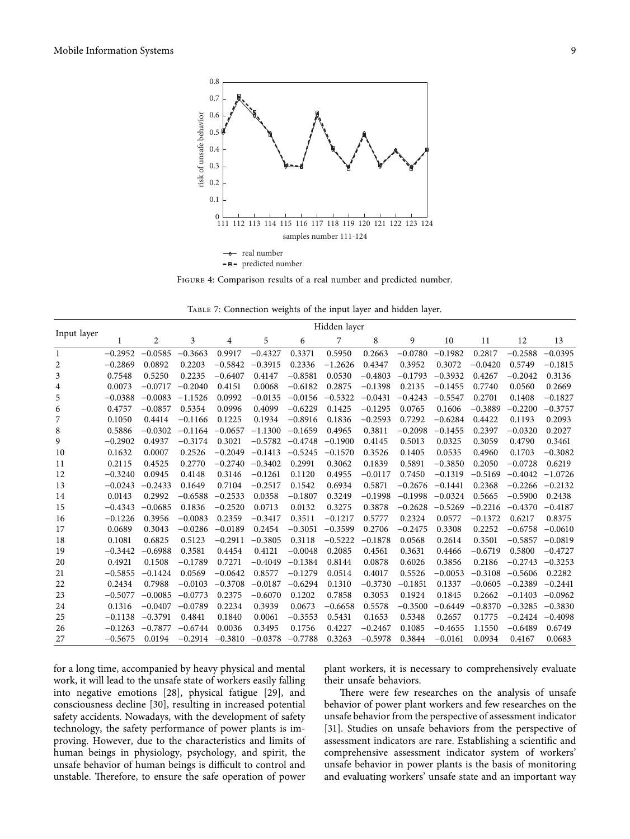<span id="page-8-0"></span>

Figure 4: Comparison results of a real number and predicted number.

TABLE 7: Connection weights of the input layer and hidden layer.

|             |           | Hidden layer |           |           |           |           |           |           |           |           |           |           |           |  |
|-------------|-----------|--------------|-----------|-----------|-----------|-----------|-----------|-----------|-----------|-----------|-----------|-----------|-----------|--|
| Input layer | 1         | 2            | 3         | 4         | 5         | 6         | 7         | 8         | 9         | 10        | 11        | 12        | 13        |  |
| 1           | $-0.2952$ | $-0.0585$    | $-0.3663$ | 0.9917    | $-0.4327$ | 0.3371    | 0.5950    | 0.2663    | $-0.0780$ | $-0.1982$ | 0.2817    | $-0.2588$ | $-0.0395$ |  |
| 2           | $-0.2869$ | 0.0892       | 0.2203    | $-0.5842$ | $-0.3915$ | 0.2336    | $-1.2626$ | 0.4347    | 0.3952    | 0.3072    | $-0.0420$ | 0.5749    | $-0.1815$ |  |
| 3           | 0.7548    | 0.5250       | 0.2235    | $-0.6407$ | 0.4147    | $-0.8581$ | 0.0530    | $-0.4803$ | $-0.1793$ | $-0.3932$ | 0.4267    | $-0.2042$ | 0.3136    |  |
| 4           | 0.0073    | $-0.0717$    | $-0.2040$ | 0.4151    | 0.0068    | $-0.6182$ | 0.2875    | $-0.1398$ | 0.2135    | $-0.1455$ | 0.7740    | 0.0560    | 0.2669    |  |
| 5           | $-0.0388$ | $-0.0083$    | $-1.1526$ | 0.0992    | $-0.0135$ | $-0.0156$ | $-0.5322$ | $-0.0431$ | $-0.4243$ | $-0.5547$ | 0.2701    | 0.1408    | $-0.1827$ |  |
| 6           | 0.4757    | $-0.0857$    | 0.5354    | 0.0996    | 0.4099    | $-0.6229$ | 0.1425    | $-0.1295$ | 0.0765    | 0.1606    | $-0.3889$ | $-0.2200$ | $-0.3757$ |  |
| 7           | 0.1050    | 0.4414       | $-0.1166$ | 0.1225    | 0.1934    | $-0.8916$ | 0.1836    | $-0.2593$ | 0.7292    | $-0.6284$ | 0.4422    | 0.1193    | 0.2093    |  |
| 8           | 0.5886    | $-0.0302$    | $-0.1164$ | $-0.0657$ | $-1.1300$ | $-0.1659$ | 0.4965    | 0.3811    | $-0.2098$ | $-0.1455$ | 0.2397    | $-0.0320$ | 0.2027    |  |
| 9           | $-0.2902$ | 0.4937       | $-0.3174$ | 0.3021    | $-0.5782$ | $-0.4748$ | $-0.1900$ | 0.4145    | 0.5013    | 0.0325    | 0.3059    | 0.4790    | 0.3461    |  |
| 10          | 0.1632    | 0.0007       | 0.2526    | $-0.2049$ | $-0.1413$ | $-0.5245$ | $-0.1570$ | 0.3526    | 0.1405    | 0.0535    | 0.4960    | 0.1703    | $-0.3082$ |  |
| 11          | 0.2115    | 0.4525       | 0.2770    | $-0.2740$ | $-0.3402$ | 0.2991    | 0.3062    | 0.1839    | 0.5891    | $-0.3850$ | 0.2050    | $-0.0728$ | 0.6219    |  |
| 12          | $-0.3240$ | 0.0945       | 0.4148    | 0.3146    | $-0.1261$ | 0.1120    | 0.4955    | $-0.0117$ | 0.7450    | $-0.1319$ | $-0.5169$ | $-0.4042$ | $-1.0726$ |  |
| 13          | $-0.0243$ | $-0.2433$    | 0.1649    | 0.7104    | $-0.2517$ | 0.1542    | 0.6934    | 0.5871    | $-0.2676$ | $-0.1441$ | 0.2368    | $-0.2266$ | $-0.2132$ |  |
| 14          | 0.0143    | 0.2992       | $-0.6588$ | $-0.2533$ | 0.0358    | $-0.1807$ | 0.3249    | $-0.1998$ | $-0.1998$ | $-0.0324$ | 0.5665    | $-0.5900$ | 0.2438    |  |
| 15          | $-0.4343$ | $-0.0685$    | 0.1836    | $-0.2520$ | 0.0713    | 0.0132    | 0.3275    | 0.3878    | $-0.2628$ | $-0.5269$ | $-0.2216$ | $-0.4370$ | $-0.4187$ |  |
| 16          | $-0.1226$ | 0.3956       | $-0.0083$ | 0.2359    | $-0.3417$ | 0.3511    | $-0.1217$ | 0.5777    | 0.2324    | 0.0577    | $-0.1372$ | 0.6217    | 0.8375    |  |
| 17          | 0.0689    | 0.3043       | $-0.0286$ | $-0.0189$ | 0.2454    | $-0.3051$ | $-0.3599$ | 0.2706    | $-0.2475$ | 0.3308    | 0.2252    | $-0.6758$ | $-0.0610$ |  |
| 18          | 0.1081    | 0.6825       | 0.5123    | $-0.2911$ | $-0.3805$ | 0.3118    | $-0.5222$ | $-0.1878$ | 0.0568    | 0.2614    | 0.3501    | $-0.5857$ | $-0.0819$ |  |
| 19          | $-0.3442$ | $-0.6988$    | 0.3581    | 0.4454    | 0.4121    | $-0.0048$ | 0.2085    | 0.4561    | 0.3631    | 0.4466    | $-0.6719$ | 0.5800    | $-0.4727$ |  |
| 20          | 0.4921    | 0.1508       | $-0.1789$ | 0.7271    | $-0.4049$ | $-0.1384$ | 0.8144    | 0.0878    | 0.6026    | 0.3856    | 0.2186    | $-0.2743$ | $-0.3253$ |  |
| 21          | $-0.5855$ | $-0.1424$    | 0.0569    | $-0.0642$ | 0.8577    | $-0.1279$ | 0.0514    | 0.4017    | 0.5526    | $-0.0053$ | $-0.3108$ | $-0.5606$ | 0.2282    |  |
| 22          | 0.2434    | 0.7988       | $-0.0103$ | $-0.3708$ | $-0.0187$ | $-0.6294$ | 0.1310    | $-0.3730$ | $-0.1851$ | 0.1337    | $-0.0605$ | $-0.2389$ | $-0.2441$ |  |
| 23          | $-0.5077$ | $-0.0085$    | $-0.0773$ | 0.2375    | $-0.6070$ | 0.1202    | 0.7858    | 0.3053    | 0.1924    | 0.1845    | 0.2662    | $-0.1403$ | $-0.0962$ |  |
| 24          | 0.1316    | $-0.0407$    | $-0.0789$ | 0.2234    | 0.3939    | 0.0673    | $-0.6658$ | 0.5578    | $-0.3500$ | $-0.6449$ | $-0.8370$ | $-0.3285$ | $-0.3830$ |  |
| 25          | $-0.1138$ | $-0.3791$    | 0.4841    | 0.1840    | 0.0061    | $-0.3553$ | 0.5431    | 0.1653    | 0.5348    | 0.2657    | 0.1775    | $-0.2424$ | $-0.4098$ |  |
| 26          | $-0.1263$ | $-0.7877$    | $-0.6744$ | 0.0036    | 0.3495    | 0.1756    | 0.4227    | $-0.2467$ | 0.1085    | $-0.4655$ | 1.1550    | $-0.6489$ | 0.6749    |  |
| 27          | $-0.5675$ | 0.0194       | $-0.2914$ | $-0.3810$ | $-0.0378$ | $-0.7788$ | 0.3263    | $-0.5978$ | 0.3844    | $-0.0161$ | 0.0934    | 0.4167    | 0.0683    |  |

for a long time, accompanied by heavy physical and mental work, it will lead to the unsafe state of workers easily falling into negative emotions [[28](#page-10-0)], physical fatigue [[29](#page-11-0)], and consciousness decline [[30](#page-11-0)], resulting in increased potential safety accidents. Nowadays, with the development of safety technology, the safety performance of power plants is improving. However, due to the characteristics and limits of human beings in physiology, psychology, and spirit, the unsafe behavior of human beings is difficult to control and unstable. Therefore, to ensure the safe operation of power

plant workers, it is necessary to comprehensively evaluate their unsafe behaviors.

There were few researches on the analysis of unsafe behavior of power plant workers and few researches on the unsafe behavior from the perspective of assessment indicator [\[31](#page-11-0)]. Studies on unsafe behaviors from the perspective of assessment indicators are rare. Establishing a scientific and comprehensive assessment indicator system of workers' unsafe behavior in power plants is the basis of monitoring and evaluating workers' unsafe state and an important way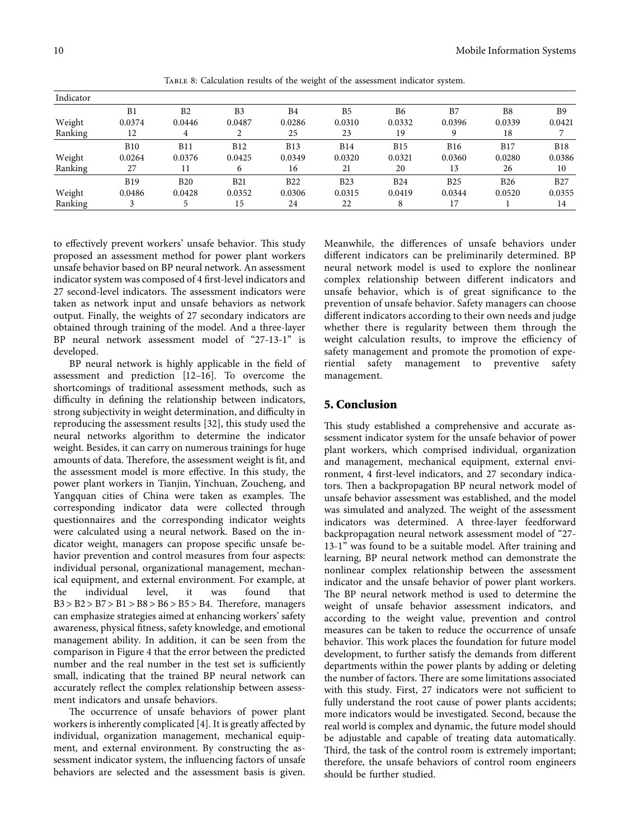<span id="page-9-0"></span>

| Indicator |            |                |                |            |            |            |            |            |                |
|-----------|------------|----------------|----------------|------------|------------|------------|------------|------------|----------------|
|           | B1         | B <sub>2</sub> | B <sub>3</sub> | B4         | B5         | <b>B6</b>  | B7         | B8         | B <sub>9</sub> |
| Weight    | 0.0374     | 0.0446         | 0.0487         | 0.0286     | 0.0310     | 0.0332     | 0.0396     | 0.0339     | 0.0421         |
| Ranking   | 12         | 4              |                | 25         | 23         | 19         |            | 18         |                |
|           | <b>B10</b> | <b>B11</b>     | <b>B12</b>     | <b>B13</b> | <b>B14</b> | B15        | <b>B16</b> | <b>B17</b> | <b>B18</b>     |
| Weight    | 0.0264     | 0.0376         | 0.0425         | 0.0349     | 0.0320     | 0.0321     | 0.0360     | 0.0280     | 0.0386         |
| Ranking   | 27         |                | 6              | 16         | 21         | 20         | 13         | 26         | 10             |
|           | <b>B19</b> | <b>B20</b>     | <b>B21</b>     | <b>B22</b> | <b>B23</b> | <b>B24</b> | <b>B25</b> | <b>B26</b> | <b>B27</b>     |
| Weight    | 0.0486     | 0.0428         | 0.0352         | 0.0306     | 0.0315     | 0.0419     | 0.0344     | 0.0520     | 0.0355         |
| Ranking   |            |                | 15             | 24         | 22         |            | 17         |            | 14             |

Table 8: Calculation results of the weight of the assessment indicator system.

to effectively prevent workers' unsafe behavior. This study proposed an assessment method for power plant workers unsafe behavior based on BP neural network. An assessment indicator system was composed of 4 first-level indicators and 27 second-level indicators. The assessment indicators were taken as network input and unsafe behaviors as network output. Finally, the weights of 27 secondary indicators are obtained through training of the model. And a three-layer BP neural network assessment model of "27-13-1" is developed.

BP neural network is highly applicable in the field of assessment and prediction [[12–16\]](#page-10-0). To overcome the shortcomings of traditional assessment methods, such as difficulty in defining the relationship between indicators, strong subjectivity in weight determination, and difficulty in reproducing the assessment results [\[32](#page-11-0)], this study used the neural networks algorithm to determine the indicator weight. Besides, it can carry on numerous trainings for huge amounts of data. Therefore, the assessment weight is fit, and the assessment model is more effective. In this study, the power plant workers in Tianjin, Yinchuan, Zoucheng, and Yangquan cities of China were taken as examples. The corresponding indicator data were collected through questionnaires and the corresponding indicator weights were calculated using a neural network. Based on the indicator weight, managers can propose specific unsafe behavior prevention and control measures from four aspects: individual personal, organizational management, mechanical equipment, and external environment. For example, at the individual level, it was found that  $B3 > B2 > B7 > B1 > B8 > B6 > B5 > B4$ . Therefore, managers can emphasize strategies aimed at enhancing workers' safety awareness, physical fitness, safety knowledge, and emotional management ability. In addition, it can be seen from the comparison in Figure [4](#page-8-0) that the error between the predicted number and the real number in the test set is sufficiently small, indicating that the trained BP neural network can accurately reflect the complex relationship between assessment indicators and unsafe behaviors.

The occurrence of unsafe behaviors of power plant workers is inherently complicated [[4](#page-10-0)]. It is greatly affected by individual, organization management, mechanical equipment, and external environment. By constructing the assessment indicator system, the influencing factors of unsafe behaviors are selected and the assessment basis is given. Meanwhile, the differences of unsafe behaviors under different indicators can be preliminarily determined. BP neural network model is used to explore the nonlinear complex relationship between different indicators and unsafe behavior, which is of great significance to the prevention of unsafe behavior. Safety managers can choose different indicators according to their own needs and judge whether there is regularity between them through the weight calculation results, to improve the efficiency of safety management and promote the promotion of experiential safety management to preventive safety management.

# **5. Conclusion**

This study established a comprehensive and accurate assessment indicator system for the unsafe behavior of power plant workers, which comprised individual, organization and management, mechanical equipment, external environment, 4 first-level indicators, and 27 secondary indicators. Then a backpropagation BP neural network model of unsafe behavior assessment was established, and the model was simulated and analyzed. The weight of the assessment indicators was determined. A three-layer feedforward backpropagation neural network assessment model of "27- 13-1" was found to be a suitable model. After training and learning, BP neural network method can demonstrate the nonlinear complex relationship between the assessment indicator and the unsafe behavior of power plant workers. The BP neural network method is used to determine the weight of unsafe behavior assessment indicators, and according to the weight value, prevention and control measures can be taken to reduce the occurrence of unsafe behavior. This work places the foundation for future model development, to further satisfy the demands from different departments within the power plants by adding or deleting the number of factors. There are some limitations associated with this study. First, 27 indicators were not sufficient to fully understand the root cause of power plants accidents; more indicators would be investigated. Second, because the real world is complex and dynamic, the future model should be adjustable and capable of treating data automatically. Third, the task of the control room is extremely important; therefore, the unsafe behaviors of control room engineers should be further studied.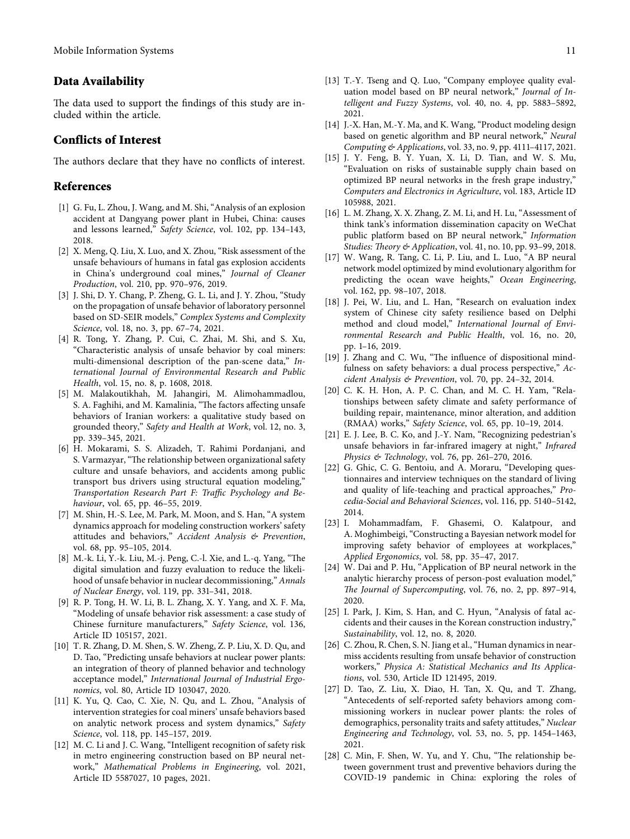# <span id="page-10-0"></span>**Data Availability**

The data used to support the findings of this study are included within the article.

# **Conflicts of Interest**

The authors declare that they have no conflicts of interest.

#### **References**

- [1] G. Fu, L. Zhou, J. Wang, and M. Shi, "Analysis of an explosion accident at Dangyang power plant in Hubei, China: causes and lessons learned," *Safety Science*, vol. 102, pp. 134–143, 2018.
- [2] X. Meng, Q. Liu, X. Luo, and X. Zhou, "Risk assessment of the unsafe behaviours of humans in fatal gas explosion accidents in China's underground coal mines," *Journal of Cleaner Production*, vol. 210, pp. 970–976, 2019.
- [3] J. Shi, D. Y. Chang, P. Zheng, G. L. Li, and J. Y. Zhou, "Study on the propagation of unsafe behavior of laboratory personnel based on SD-SEIR models," *Complex Systems and Complexity Science*, vol. 18, no. 3, pp. 67–74, 2021.
- [4] R. Tong, Y. Zhang, P. Cui, C. Zhai, M. Shi, and S. Xu, "Characteristic analysis of unsafe behavior by coal miners: multi-dimensional description of the pan-scene data," *International Journal of Environmental Research and Public Health*, vol. 15, no. 8, p. 1608, 2018.
- [5] M. Malakoutikhah, M. Jahangiri, M. Alimohammadlou, S. A. Faghihi, and M. Kamalinia, "The factors affecting unsafe behaviors of Iranian workers: a qualitative study based on grounded theory," *Safety and Health at Work*, vol. 12, no. 3, pp. 339–345, 2021.
- [6] H. Mokarami, S. S. Alizadeh, T. Rahimi Pordanjani, and S. Varmazyar, "The relationship between organizational safety culture and unsafe behaviors, and accidents among public transport bus drivers using structural equation modeling," *Transportation Research Part F: Traffic Psychology and Behaviour*, vol. 65, pp. 46–55, 2019.
- [7] M. Shin, H.-S. Lee, M. Park, M. Moon, and S. Han, "A system dynamics approach for modeling construction workers' safety attitudes and behaviors," *Accident Analysis & Prevention*, vol. 68, pp. 95–105, 2014.
- [8] M.-k. Li, Y.-k. Liu, M.-j. Peng, C.-l. Xie, and L.-q. Yang, "The digital simulation and fuzzy evaluation to reduce the likelihood of unsafe behavior in nuclear decommissioning," *Annals of Nuclear Energy*, vol. 119, pp. 331–341, 2018.
- [9] R. P. Tong, H. W. Li, B. L. Zhang, X. Y. Yang, and X. F. Ma, "Modeling of unsafe behavior risk assessment: a case study of Chinese furniture manufacturers," *Safety Science*, vol. 136, Article ID 105157, 2021.
- [10] T. R. Zhang, D. M. Shen, S. W. Zheng, Z. P. Liu, X. D. Qu, and D. Tao, "Predicting unsafe behaviors at nuclear power plants: an integration of theory of planned behavior and technology acceptance model," *International Journal of Industrial Ergonomics*, vol. 80, Article ID 103047, 2020.
- [11] K. Yu, Q. Cao, C. Xie, N. Qu, and L. Zhou, "Analysis of intervention strategies for coal miners' unsafe behaviors based on analytic network process and system dynamics," *Safety Science*, vol. 118, pp. 145–157, 2019.
- [12] M. C. Li and J. C. Wang, "Intelligent recognition of safety risk in metro engineering construction based on BP neural network," *Mathematical Problems in Engineering*, vol. 2021, Article ID 5587027, 10 pages, 2021.
- [13] T.-Y. Tseng and Q. Luo, "Company employee quality evaluation model based on BP neural network," *Journal of Intelligent and Fuzzy Systems*, vol. 40, no. 4, pp. 5883–5892, 2021.
- [14] J.-X. Han, M.-Y. Ma, and K. Wang, "Product modeling design based on genetic algorithm and BP neural network," *Neural Computing & Applications*, vol. 33, no. 9, pp. 4111–4117, 2021.
- [15] J. Y. Feng, B. Y. Yuan, X. Li, D. Tian, and W. S. Mu, "Evaluation on risks of sustainable supply chain based on optimized BP neural networks in the fresh grape industry," *Computers and Electronics in Agriculture*, vol. 183, Article ID 105988, 2021.
- [16] L. M. Zhang, X. X. Zhang, Z. M. Li, and H. Lu, "Assessment of think tank's information dissemination capacity on WeChat public platform based on BP neural network," *Information Studies: Theory & Application, vol. 41, no. 10, pp. 93-99, 2018.*
- [17] W. Wang, R. Tang, C. Li, P. Liu, and L. Luo, "A BP neural network model optimized by mind evolutionary algorithm for predicting the ocean wave heights," *Ocean Engineering*, vol. 162, pp. 98–107, 2018.
- [18] J. Pei, W. Liu, and L. Han, "Research on evaluation index system of Chinese city safety resilience based on Delphi method and cloud model," *International Journal of Environmental Research and Public Health*, vol. 16, no. 20, pp. 1–16, 2019.
- [19] J. Zhang and C. Wu, "The influence of dispositional mindfulness on safety behaviors: a dual process perspective," *Accident Analysis & Prevention*, vol. 70, pp. 24–32, 2014.
- [20] C. K. H. Hon, A. P. C. Chan, and M. C. H. Yam, "Relationships between safety climate and safety performance of building repair, maintenance, minor alteration, and addition (RMAA) works," *Safety Science*, vol. 65, pp. 10–19, 2014.
- [21] E. J. Lee, B. C. Ko, and J.-Y. Nam, "Recognizing pedestrian's unsafe behaviors in far-infrared imagery at night," *Infrared Physics & Technology*, vol. 76, pp. 261–270, 2016.
- [22] G. Ghic, C. G. Bentoiu, and A. Moraru, "Developing questionnaires and interview techniques on the standard of living and quality of life-teaching and practical approaches," *Procedia-Social and Behavioral Sciences*, vol. 116, pp. 5140–5142, 2014.
- [23] I. Mohammadfam, F. Ghasemi, O. Kalatpour, and A. Moghimbeigi, "Constructing a Bayesian network model for improving safety behavior of employees at workplaces," *Applied Ergonomics*, vol. 58, pp. 35–47, 2017.
- [24] W. Dai and P. Hu, "Application of BP neural network in the analytic hierarchy process of person-post evaluation model," *>e Journal of Supercomputing*, vol. 76, no. 2, pp. 897–914, 2020.
- [25] I. Park, J. Kim, S. Han, and C. Hyun, "Analysis of fatal accidents and their causes in the Korean construction industry," *Sustainability*, vol. 12, no. 8, 2020.
- [26] C. Zhou, R. Chen, S. N. Jiang et al., "Human dynamics in nearmiss accidents resulting from unsafe behavior of construction workers," *Physica A: Statistical Mechanics and Its Applications*, vol. 530, Article ID 121495, 2019.
- [27] D. Tao, Z. Liu, X. Diao, H. Tan, X. Qu, and T. Zhang, "Antecedents of self-reported safety behaviors among commissioning workers in nuclear power plants: the roles of demographics, personality traits and safety attitudes," *Nuclear Engineering and Technology*, vol. 53, no. 5, pp. 1454–1463, 2021.
- [28] C. Min, F. Shen, W. Yu, and Y. Chu, "The relationship between government trust and preventive behaviors during the COVID-19 pandemic in China: exploring the roles of